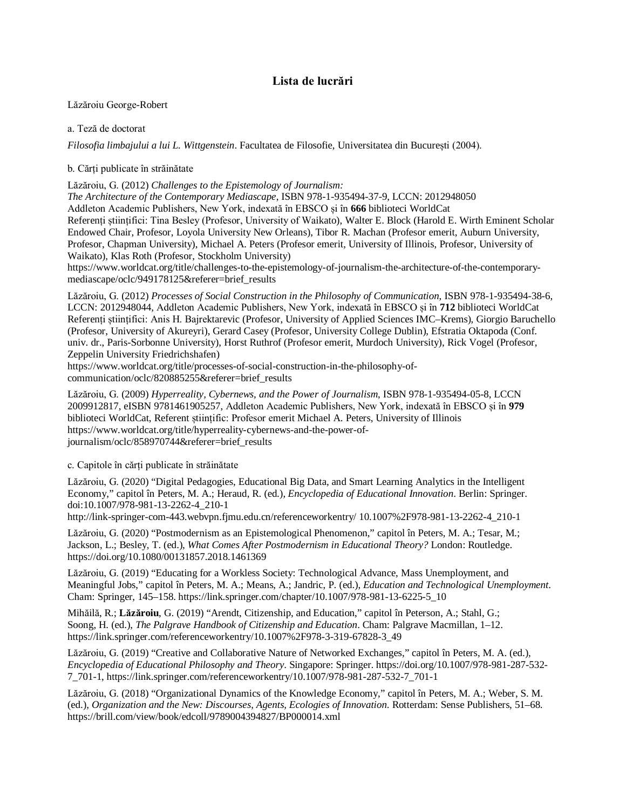## **Lista de lucrări**

Lăzăroiu George-Robert

a. Teză de doctorat

*Filosofia limbajului a lui L. Wittgenstein*. Facultatea de Filosofie, Universitatea din București (2004).

b. Cărți publicate în străinătate

Lăzăroiu, G. (2012) *Challenges to the Epistemology of Journalism:* 

*The Architecture of the Contemporary Mediascape*, ISBN 978-1-935494-37-9, LCCN: 2012948050 Addleton Academic Publishers, New York, indexată în EBSCO și în **666** biblioteci WorldCat Referenți științifici: Tina Besley (Profesor, University of Waikato), Walter E. Block (Harold E. Wirth Eminent Scholar Endowed Chair, Profesor, Loyola University New Orleans), Tibor R. Machan (Profesor emerit, Auburn University, Profesor, Chapman University), Michael A. Peters (Profesor emerit, University of Illinois, Profesor, University of Waikato), Klas Roth (Profesor, Stockholm University)

[https://www.worldcat.org/title/challenges-to-the-epistemology-of-journalism-the-architecture-of-the-contemporary](https://www.worldcat.org/title/challenges-to-the-epistemology-of-journalism-the-architecture-of-the-contemporary-)mediascape/oclc/949178125&referer=brief\_results

Lăzăroiu, G. (2012) *Processes of Social Construction in the Philosophy of Communication*, ISBN 978-1-935494-38-6, LCCN: 2012948044, Addleton Academic Publishers, New York, indexată în EBSCO și în **712** biblioteci WorldCat Referenți științifici: Anis H. Bajrektarevic (Profesor, University of Applied Sciences IMC–Krems), Giorgio Baruchello (Profesor, University of Akureyri), Gerard Casey (Profesor, University College Dublin), Efstratia Oktapoda (Conf. univ. dr., Paris-Sorbonne University), Horst Ruthrof (Profesor emerit, Murdoch University), Rick Vogel (Profesor, Zeppelin University Friedrichshafen)

[https://www.worldcat.org/title/processes-of-social-construction-in-the-philosophy-of](https://www.worldcat.org/title/processes-of-social-construction-in-the-philosophy-of-)communication/oclc/820885255&referer=brief\_results

Lăzăroiu, G. (2009) *Hyperreality, Cybernews, and the Power of Journalism*, ISBN 978-1-935494-05-8, LCCN 2009912817, eISBN 9781461905257, Addleton Academic Publishers, New York, indexată în EBSCO și în **979**  biblioteci WorldCat, Referent științific: Profesor emerit Michael A. Peters, University of Illinois [https://www.worldcat.org/title/hyperreality-cybernews-and-the-power-of](https://www.worldcat.org/title/hyperreality-cybernews-and-the-power-of-)journalism/oclc/858970744&referer=brief\_results

c. Capitole în cărți publicate în străinătate

Lăzăroiu, G. (2020) "Digital Pedagogies, Educational Big Data, and Smart Learning Analytics in the Intelligent Economy," capitol în Peters, M. A.; Heraud, R. (ed.), *Encyclopedia of Educational Innovation*. Berlin: Springer. doi:10.1007/978-981-13-2262-4\_210-1

<http://link-springer-com-443.webvpn.fjmu.edu.cn/referenceworkentry/>10.1007%2F978-981-13-2262-4\_210-1

Lăzăroiu, G. (2020) "Postmodernism as an Epistemological Phenomenon," capitol în Peters, M. A.; Tesar, M.; Jackson, L.; Besley, T. (ed.), *What Comes After Postmodernism in Educational Theory?* London: Routledge. <https://doi.org/10.1080/00131857.2018.1461369>

Lăzăroiu, G. (2019) "Educating for a Workless Society: Technological Advance, Mass Unemployment, and Meaningful Jobs," capitol în Peters, M. A.; Means, A.; Jandric, P. (ed.), *Education and Technological Unemployment*. Cham: Springer, 145–158. [https://link.springer.com/chapter/10.1007/978-981-13-6225-5\\_10](https://link.springer.com/chapter/10.1007/978-981-13-6225-5_10)

Mihăilă, R.; **Lăzăroiu**, G. (2019) "Arendt, Citizenship, and Education," capitol în Peterson, A.; Stahl, G.; Soong, H. (ed.), *The Palgrave Handbook of Citizenship and Education*. Cham: Palgrave Macmillan, 1–12. [https://link.springer.com/referenceworkentry/10.1007%2F978-3-319-67828-3\\_49](https://link.springer.com/referenceworkentry/10.1007%2F978-3-319-67828-3_49)

Lăzăroiu, G. (2019) "Creative and Collaborative Nature of Networked Exchanges," capitol în Peters, M. A. (ed.), *Encyclopedia of Educational Philosophy and Theory*. Singapore: Springer.<https://doi.org/10.1007/978-981-287-532-> 7\_701-1, [https://link.springer.com/referenceworkentry/10.1007/978-981-287-532-7\\_701-1](https://link.springer.com/referenceworkentry/10.1007/978-981-287-532-7_701-1)

Lăzăroiu, G. (2018) "Organizational Dynamics of the Knowledge Economy," capitol în Peters, M. A.; Weber, S. M. (ed.), *Organization and the New: Discourses, Agents, Ecologies of Innovation*. Rotterdam: Sense Publishers, 51–68. <https://brill.com/view/book/edcoll/9789004394827/BP000014.xml>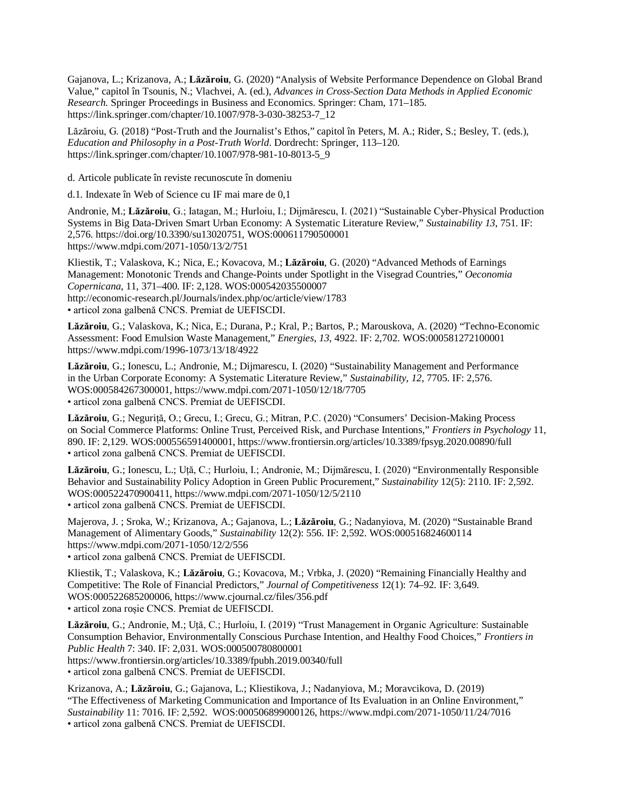Gajanova, L.; Krizanova, A.; **Lăzăroiu**, G. (2020) "Analysis of Website Performance Dependence on Global Brand Value," capitol în Tsounis, N.; Vlachvei, A. (ed.), *Advances in Cross-Section Data Methods in Applied Economic Research*. Springer Proceedings in Business and Economics. Springer: Cham, 171–185. [https://link.springer.com/chapter/10.1007/978-3-030-38253-7\\_12](https://link.springer.com/chapter/10.1007/978-3-030-38253-7_12)

Lăzăroiu, G. (2018) "Post-Truth and the Journalist's Ethos," capitol în Peters, M. A.; Rider, S.; Besley, T. (eds.), *Education and Philosophy in a Post-Truth World*. Dordrecht: Springer, 113–120. [https://link.springer.com/chapter/10.1007/978-981-10-8013-5\\_9](https://link.springer.com/chapter/10.1007/978-981-10-8013-5_9)

d. Articole publicate în reviste recunoscute în domeniu

d.1. Indexate în Web of Science cu IF mai mare de 0,1

Andronie, M.; **Lăzăroiu**, G.; Iatagan, M.; Hurloiu, I.; Dijmărescu, I. (2021) "Sustainable Cyber-Physical Production Systems in Big Data-Driven Smart Urban Economy: A Systematic Literature Review," *Sustainability 13*, 751. IF: 2,576. <https://doi.org/10.3390/su13020751,> WOS:000611790500001 <https://www.mdpi.com/2071-1050/13/2/751>

Kliestik, T.; Valaskova, K.; Nica, E.; Kovacova, M.; **Lăzăroiu**, G. (2020) "Advanced Methods of Earnings Management: Monotonic Trends and Change-Points under Spotlight in the Visegrad Countries," *Oeconomia Copernicana*, 11, 371–400. IF: 2,128. WOS:000542035500007 <http://economic-research.pl/Journals/index.php/oc/article/view/1783> • articol zona galbenă CNCS. Premiat de UEFISCDI.

**Lăzăroiu**, G.; Valaskova, K.; Nica, E.; Durana, P.; Kral, P.; Bartos, P.; Marouskova, A. (2020) "Techno-Economic Assessment: Food Emulsion Waste Management," *Energies*, *13*, 4922. IF: 2,702. WOS:000581272100001 <https://www.mdpi.com/1996-1073/13/18/4922>

**Lăzăroiu**, G.; Ionescu, L.; Andronie, M.; Dijmarescu, I. (2020) "Sustainability Management and Performance in the Urban Corporate Economy: A Systematic Literature Review," *Sustainability*, *12*, 7705. IF: 2,576. WOS:000584267300001, <https://www.mdpi.com/2071-1050/12/18/7705> • articol zona galbenă CNCS. Premiat de UEFISCDI.

**Lăzăroiu**, G.; Neguriță, O.; Grecu, I.; Grecu, G.; Mitran, P.C. (2020) "Consumers' Decision-Making Process on Social Commerce Platforms: Online Trust, Perceived Risk, and Purchase Intentions," *Frontiers in Psychology* 11, 890. IF: 2,129. WOS:000556591400001, <https://www.frontiersin.org/articles/10.3389/fpsyg.2020.00890/full> • articol zona galbenă CNCS. Premiat de UEFISCDI.

**Lăzăroiu**, G.; Ionescu, L.; Uță, C.; Hurloiu, I.; Andronie, M.; Dijmărescu, I. (2020) "Environmentally Responsible Behavior and Sustainability Policy Adoption in Green Public Procurement," *Sustainability* 12(5): 2110. IF: 2,592. WOS:000522470900411, <https://www.mdpi.com/2071-1050/12/5/2110> • articol zona galbenă CNCS. Premiat de UEFISCDI.

Majerova, J. ; Sroka, W.; Krizanova, A.; Gajanova, L.; **Lăzăroiu**, G.; Nadanyiova, M. (2020) "Sustainable Brand Management of Alimentary Goods," *Sustainability* 12(2): 556. IF: 2,592. WOS:000516824600114 <https://www.mdpi.com/2071-1050/12/2/556>

• articol zona galbenă CNCS. Premiat de UEFISCDI.

Kliestik, T.; Valaskova, K.; **Lăzăroiu**, G.; Kovacova, M.; Vrbka, J. (2020) "Remaining Financially Healthy and Competitive: The Role of Financial Predictors," *Journal of Competitiveness* 12(1): 74–92. IF: 3,649. WOS:000522685200006, <https://www.cjournal.cz/files/356.pdf> • articol zona roșie CNCS. Premiat de UEFISCDI.

**Lăzăroiu**, G.; Andronie, M.; Uță, C.; Hurloiu, I. (2019) "Trust Management in Organic Agriculture: Sustainable Consumption Behavior, Environmentally Conscious Purchase Intention, and Healthy Food Choices," *Frontiers in Public Health* 7: 340. IF: 2,031. WOS:000500780800001

<https://www.frontiersin.org/articles/10.3389/fpubh.2019.00340/full> • articol zona galbenă CNCS. Premiat de UEFISCDI.

Krizanova, A.; **Lăzăroiu**, G.; Gajanova, L.; Kliestikova, J.; Nadanyiova, M.; Moravcikova, D. (2019) "The Effectiveness of Marketing Communication and Importance of Its Evaluation in an Online Environment," *Sustainability* 11: 7016. IF: 2,592. WOS:000506899000126, <https://www.mdpi.com/2071-1050/11/24/7016> • articol zona galbenă CNCS. Premiat de UEFISCDI.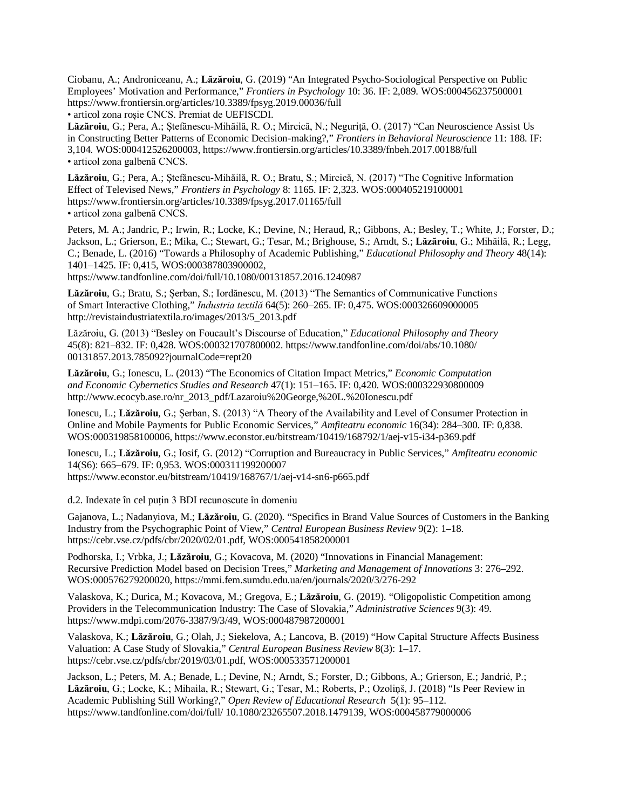Ciobanu, A.; Androniceanu, A.; **Lăzăroiu**, G. (2019) "An Integrated Psycho-Sociological Perspective on Public Employees' Motivation and Performance," *Frontiers in Psychology* 10: 36. IF: 2,089. WOS:000456237500001 <https://www.frontiersin.org/articles/10.3389/fpsyg.2019.00036/full> • articol zona roșie CNCS. Premiat de UEFISCDI.

**Lăzăroiu**, G.; Pera, A.; Ștefănescu-Mihăilă, R. O.; Mircică, N.; Neguriță, O. (2017) "Can Neuroscience Assist Us in Constructing Better Patterns of Economic Decision-making?," *Frontiers in Behavioral Neuroscience* 11: 188. IF: 3,104. WOS:000412526200003,<https://www.frontiersin.org/articles/10.3389/fnbeh.2017.00188/full> • articol zona galbenă CNCS.

**Lăzăroiu**, G.; Pera, A.; Ștefănescu-Mihăilă, R. O.; Bratu, S.; Mircică, N. (2017) "The Cognitive Information Effect of Televised News," *Frontiers in Psychology* 8: 1165. IF: 2,323. WOS:000405219100001 <https://www.frontiersin.org/articles/10.3389/fpsyg.2017.01165/full> • articol zona galbenă CNCS.

Peters, M. A.; Jandric, P.; Irwin, R.; Locke, K.; Devine, N.; Heraud, R,; Gibbons, A.; Besley, T.; White, J.; Forster, D.; Jackson, L.; Grierson, E.; Mika, C.; Stewart, G.; Tesar, M.; Brighouse, S.; Arndt, S.; **Lăzăroiu**, G.; Mihăilă, R.; Legg, C.; Benade, L. (2016) "Towards a Philosophy of Academic Publishing," *Educational Philosophy and Theory* 48(14): 1401–1425. IF: 0,415, WOS:000387803900002, <https://www.tandfonline.com/doi/full/10.1080/00131857.2016.1240987>

**Lăzăroiu**, G.; Bratu, S.; Șerban, S.; Iordănescu, M. (2013) "The Semantics of Communicative Functions of Smart Interactive Clothing," *Industria textilă* 64(5): 260–265. IF: 0,475. WOS:000326609000005 [http://revistaindustriatextila.ro/images/2013/5\\_2013.pdf](http://revistaindustriatextila.ro/images/2013/5_2013.pdf)

Lăzăroiu, G. (2013) "Besley on Foucault's Discourse of Education," *Educational Philosophy and Theory* 45(8): 821–832. IF: 0,428. WOS:000321707800002. <https://www.tandfonline.com/doi/abs/10.1080/> 00131857.2013.785092?journalCode=rept20

**Lăzăroiu**, G.; Ionescu, L. (2013) "The Economics of Citation Impact Metrics," *Economic Computation and Economic Cybernetics Studies and Research* 47(1): 151–165. IF: 0,420. WOS:000322930800009 [http://www.ecocyb.ase.ro/nr\\_2013\\_pdf/Lazaroiu%20George,%20L.%20Ionescu.pdf](http://www.ecocyb.ase.ro/nr_2013_pdf/Lazaroiu%20George,%20L.%20Ionescu.pdf)

Ionescu, L.; **Lăzăroiu**, G.; Șerban, S. (2013) "A Theory of the Availability and Level of Consumer Protection in Online and Mobile Payments for Public Economic Services," *Amfiteatru economic* 16(34): 284–300. IF: 0,838. WOS:000319858100006, <https://www.econstor.eu/bitstream/10419/168792/1/aej-v15-i34-p369.pdf>

Ionescu, L.; **Lăzăroiu**, G.; Iosif, G. (2012) "Corruption and Bureaucracy in Public Services," *Amfiteatru economic* 14(S6): 665–679. IF: 0,953. WOS:000311199200007 <https://www.econstor.eu/bitstream/10419/168767/1/aej-v14-sn6-p665.pdf>

d.2. Indexate în cel puțin 3 BDI recunoscute în domeniu

Gajanova, L.; Nadanyiova, M.; **Lăzăroiu**, G. (2020). "Specifics in Brand Value Sources of Customers in the Banking Industry from the Psychographic Point of View," *Central European Business Review* 9(2): 1–18. <https://cebr.vse.cz/pdfs/cbr/2020/02/01.pdf,> WOS:000541858200001

Podhorska, I.; Vrbka, J.; **Lăzăroiu**, G.; Kovacova, M. (2020) "Innovations in Financial Management: Recursive Prediction Model based on Decision Trees," *Marketing and Management of Innovations* 3: 276–292. WOS:000576279200020, <https://mmi.fem.sumdu.edu.ua/en/journals/2020/3/276-292>

Valaskova, K.; Durica, M.; Kovacova, M.; Gregova, E.; **Lăzăroiu**, G. (2019). "Oligopolistic Competition among Providers in the Telecommunication Industry: The Case of Slovakia," *Administrative Sciences* 9(3): 49. <https://www.mdpi.com/2076-3387/9/3/49,> WOS:000487987200001

Valaskova, K.; **Lăzăroiu**, G.; Olah, J.; Siekelova, A.; Lancova, B. (2019) "How Capital Structure Affects Business Valuation: A Case Study of Slovakia," *Central European Business Review* 8(3): 1–17. <https://cebr.vse.cz/pdfs/cbr/2019/03/01.pdf,> WOS:000533571200001

Jackson, L.; Peters, M. A.; Benade, L.; Devine, N.; Arndt, S.; Forster, D.; Gibbons, A.; Grierson, E.; Jandrić, P.; **Lăzăroiu**, G.; Locke, K.; Mihaila, R.; Stewart, G.; Tesar, M.; Roberts, P.; Ozoliņš, J. (2018) "Is Peer Review in Academic Publishing Still Working?," *Open Review of Educational Research* 5(1): 95–112. <https://www.tandfonline.com/doi/full/> 10.1080/23265507.2018.1479139, WOS:000458779000006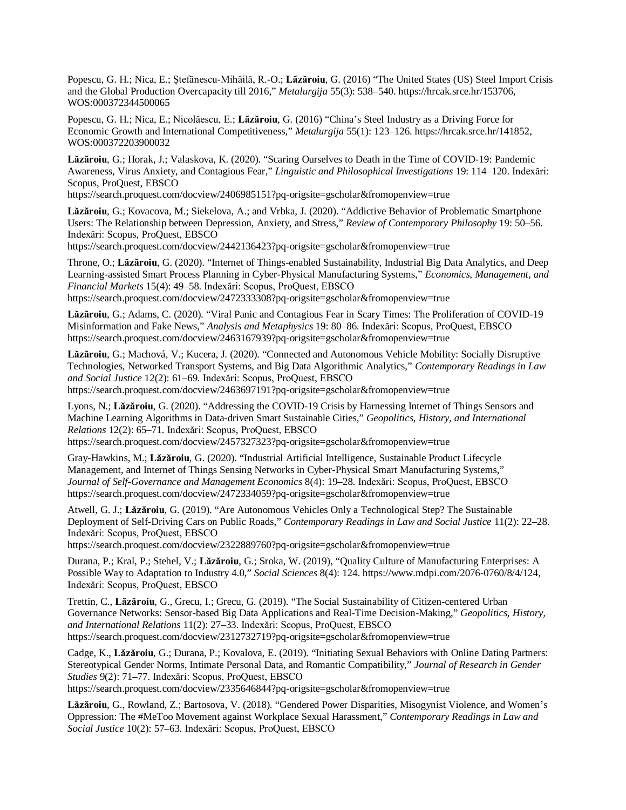Popescu, G. H.; Nica, E.; Ștefănescu-Mihăilă, R.-O.; **Lăzăroiu**, G. (2016) "The United States (US) Steel Import Crisis and the Global Production Overcapacity till 2016," *Metalurgija* 55(3): 538–540. <https://hrcak.srce.hr/153706,> WOS:000372344500065

Popescu, G. H.; Nica, E.; Nicolăescu, E.; **Lăzăroiu**, G. (2016) "China's Steel Industry as a Driving Force for Economic Growth and International Competitiveness," *Metalurgija* 55(1): 123–126. <https://hrcak.srce.hr/141852,> WOS:000372203900032

**Lăzăroiu**, G.; Horak, J.; Valaskova, K. (2020). "Scaring Ourselves to Death in the Time of COVID-19: Pandemic Awareness, Virus Anxiety, and Contagious Fear," *Linguistic and Philosophical Investigations* 19: 114–120. Indexări: Scopus, ProQuest, EBSCO

<https://search.proquest.com/docview/2406985151?pq-origsite=gscholar&fromopenview=true>

**Lăzăroiu**, G.; Kovacova, M.; Siekelova, A.; and Vrbka, J. (2020). "Addictive Behavior of Problematic Smartphone Users: The Relationship between Depression, Anxiety, and Stress," *Review of Contemporary Philosophy* 19: 50–56. Indexări: Scopus, ProQuest, EBSCO

<https://search.proquest.com/docview/2442136423?pq-origsite=gscholar&fromopenview=true>

Throne, O.; **Lăzăroiu**, G. (2020). "Internet of Things-enabled Sustainability, Industrial Big Data Analytics, and Deep Learning-assisted Smart Process Planning in Cyber-Physical Manufacturing Systems," *Economics, Management, and Financial Markets* 15(4): 49–58. Indexări: Scopus, ProQuest, EBSCO <https://search.proquest.com/docview/2472333308?pq-origsite=gscholar&fromopenview=true>

**Lăzăroiu**, G.; Adams, C. (2020). "Viral Panic and Contagious Fear in Scary Times: The Proliferation of COVID-19 Misinformation and Fake News," *Analysis and Metaphysics* 19: 80–86. Indexări: Scopus, ProQuest, EBSCO <https://search.proquest.com/docview/2463167939?pq-origsite=gscholar&fromopenview=true>

**Lăzăroiu**, G.; Machová, V.; Kucera, J. (2020). "Connected and Autonomous Vehicle Mobility: Socially Disruptive Technologies, Networked Transport Systems, and Big Data Algorithmic Analytics," *Contemporary Readings in Law and Social Justice* 12(2): 61–69. Indexări: Scopus, ProQuest, EBSCO <https://search.proquest.com/docview/2463697191?pq-origsite=gscholar&fromopenview=true>

Lyons, N.; **Lăzăroiu**, G. (2020). "Addressing the COVID-19 Crisis by Harnessing Internet of Things Sensors and Machine Learning Algorithms in Data-driven Smart Sustainable Cities," *Geopolitics, History, and International Relations* 12(2): 65–71. Indexări: Scopus, ProQuest, EBSCO <https://search.proquest.com/docview/2457327323?pq-origsite=gscholar&fromopenview=true>

Gray-Hawkins, M.; **Lăzăroiu**, G. (2020). "Industrial Artificial Intelligence, Sustainable Product Lifecycle Management, and Internet of Things Sensing Networks in Cyber-Physical Smart Manufacturing Systems," *Journal of Self-Governance and Management Economics* 8(4): 19–28. Indexări: Scopus, ProQuest, EBSCO <https://search.proquest.com/docview/2472334059?pq-origsite=gscholar&fromopenview=true>

Atwell, G. J.; **Lăzăroiu**, G. (2019). "Are Autonomous Vehicles Only a Technological Step? The Sustainable Deployment of Self-Driving Cars on Public Roads," *Contemporary Readings in Law and Social Justice* 11(2): 22–28. Indexări: Scopus, ProQuest, EBSCO

<https://search.proquest.com/docview/2322889760?pq-origsite=gscholar&fromopenview=true>

Durana, P.; Kral, P.; Stehel, V.; **Lăzăroiu**, G.; Sroka, W. (2019), "Quality Culture of Manufacturing Enterprises: A Possible Way to Adaptation to Industry 4.0," *Social Sciences* 8(4): 124. <https://www.mdpi.com/2076-0760/8/4/124,> Indexări: Scopus, ProQuest, EBSCO

Trettin, C., **Lăzăroiu**, G., Grecu, I.; Grecu, G. (2019). "The Social Sustainability of Citizen-centered Urban Governance Networks: Sensor-based Big Data Applications and Real-Time Decision-Making," *Geopolitics, History, and International Relations* 11(2): 27–33. Indexări: Scopus, ProQuest, EBSCO <https://search.proquest.com/docview/2312732719?pq-origsite=gscholar&fromopenview=true>

Cadge, K., **Lăzăroiu**, G.; Durana, P.; Kovalova, E. (2019). "Initiating Sexual Behaviors with Online Dating Partners: Stereotypical Gender Norms, Intimate Personal Data, and Romantic Compatibility," *Journal of Research in Gender Studies* 9(2): 71–77. Indexări: Scopus, ProQuest, EBSCO <https://search.proquest.com/docview/2335646844?pq-origsite=gscholar&fromopenview=true>

**Lăzăroiu**, G., Rowland, Z.; Bartosova, V. (2018). "Gendered Power Disparities, Misogynist Violence, and Women's

Oppression: The #MeToo Movement against Workplace Sexual Harassment," *Contemporary Readings in Law and Social Justice* 10(2): 57–63. Indexări: Scopus, ProQuest, EBSCO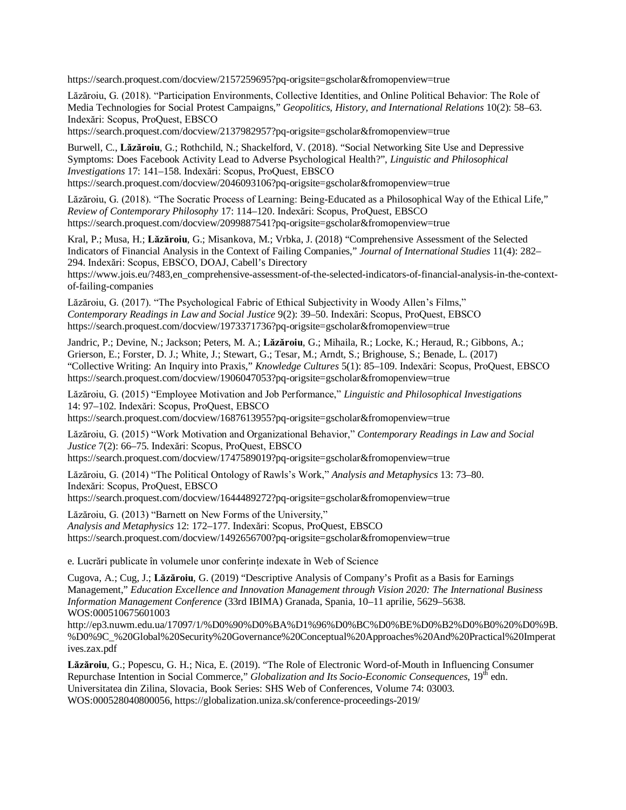<https://search.proquest.com/docview/2157259695?pq-origsite=gscholar&fromopenview=true>

Lăzăroiu, G. (2018). "Participation Environments, Collective Identities, and Online Political Behavior: The Role of Media Technologies for Social Protest Campaigns," *Geopolitics, History, and International Relations* 10(2): 58–63. Indexări: Scopus, ProQuest, EBSCO

<https://search.proquest.com/docview/2137982957?pq-origsite=gscholar&fromopenview=true>

Burwell, C., **Lăzăroiu**, G.; Rothchild, N.; Shackelford, V. (2018). "Social Networking Site Use and Depressive Symptoms: Does Facebook Activity Lead to Adverse Psychological Health?", *Linguistic and Philosophical Investigations* 17: 141–158. Indexări: Scopus, ProQuest, EBSCO <https://search.proquest.com/docview/2046093106?pq-origsite=gscholar&fromopenview=true>

Lăzăroiu, G. (2018). "The Socratic Process of Learning: Being-Educated as a Philosophical Way of the Ethical Life," *Review of Contemporary Philosophy* 17: 114–120. Indexări: Scopus, ProQuest, EBSCO <https://search.proquest.com/docview/2099887541?pq-origsite=gscholar&fromopenview=true>

Kral, P.; Musa, H.; **Lăzăroiu**, G.; Misankova, M.; Vrbka, J. (2018) "Comprehensive Assessment of the Selected Indicators of Financial Analysis in the Context of Failing Companies," *Journal of International Studies* 11(4): 282– 294. Indexări: Scopus, EBSCO, DOAJ, Cabell's Directory

[https://www.jois.eu/?483,en\\_comprehensive-assessment-of-the-selected-indicators-of-financial-analysis-in-the-context](https://www.jois.eu/?483,en_comprehensive-assessment-of-the-selected-indicators-of-financial-analysis-in-the-context-)of-failing-companies

Lăzăroiu, G. (2017). "The Psychological Fabric of Ethical Subjectivity in Woody Allen's Films," *Contemporary Readings in Law and Social Justice* 9(2): 39–50. Indexări: Scopus, ProQuest, EBSCO <https://search.proquest.com/docview/1973371736?pq-origsite=gscholar&fromopenview=true>

Jandric, P.; Devine, N.; Jackson; Peters, M. A.; **Lăzăroiu**, G.; Mihaila, R.; Locke, K.; Heraud, R.; Gibbons, A.; Grierson, E.; Forster, D. J.; White, J.; Stewart, G.; Tesar, M.; Arndt, S.; Brighouse, S.; Benade, L. (2017) "Collective Writing: An Inquiry into Praxis," *Knowledge Cultures* 5(1): 85–109. Indexări: Scopus, ProQuest, EBSCO <https://search.proquest.com/docview/1906047053?pq-origsite=gscholar&fromopenview=true>

Lăzăroiu, G. (2015) "Employee Motivation and Job Performance," *Linguistic and Philosophical Investigations* 14: 97–102. Indexări: Scopus, ProQuest, EBSCO <https://search.proquest.com/docview/1687613955?pq-origsite=gscholar&fromopenview=true>

Lăzăroiu, G. (2015) "Work Motivation and Organizational Behavior," *Contemporary Readings in Law and Social Justice* 7(2): 66–75. Indexări: Scopus, ProQuest, EBSCO <https://search.proquest.com/docview/1747589019?pq-origsite=gscholar&fromopenview=true>

Lăzăroiu, G. (2014) "The Political Ontology of Rawls's Work," *Analysis and Metaphysics* 13: 73–80. Indexări: Scopus, ProQuest, EBSCO

<https://search.proquest.com/docview/1644489272?pq-origsite=gscholar&fromopenview=true>

Lăzăroiu, G. (2013) "Barnett on New Forms of the University," *Analysis and Metaphysics* 12: 172–177. Indexări: Scopus, ProQuest, EBSCO <https://search.proquest.com/docview/1492656700?pq-origsite=gscholar&fromopenview=true>

e. Lucrări publicate în volumele unor conferințe indexate în Web of Science

Cugova, A.; Cug, J.; **Lăzăroiu**, G. (2019) "Descriptive Analysis of Company's Profit as a Basis for Earnings Management," *Education Excellence and Innovation Management through Vision 2020: The International Business Information Management Conference* (33rd IBIMA) Granada, Spania, 10–11 aprilie, 5629–5638. WOS:000510675601003

<http://ep3.nuwm.edu.ua/17097/1/%D0%90%D0%BA%D1%96%D0%BC%D0%BE%D0%B2%D0%B0%20%D0%9B.> %D0%9C\_%20Global%20Security%20Governance%20Conceptual%20Approaches%20And%20Practical%20Imperat ives.zax.pdf

**Lăzăroiu**, G.; Popescu, G. H.; Nica, E. (2019). "The Role of Electronic Word-of-Mouth in Influencing Consumer Repurchase Intention in Social Commerce," *Globalization and Its Socio-Economic Consequences*, 19th edn. Universitatea din Zilina, Slovacia, Book Series: SHS Web of Conferences, Volume 74: 03003. WOS:000528040800056, <https://globalization.uniza.sk/conference-proceedings-2019/>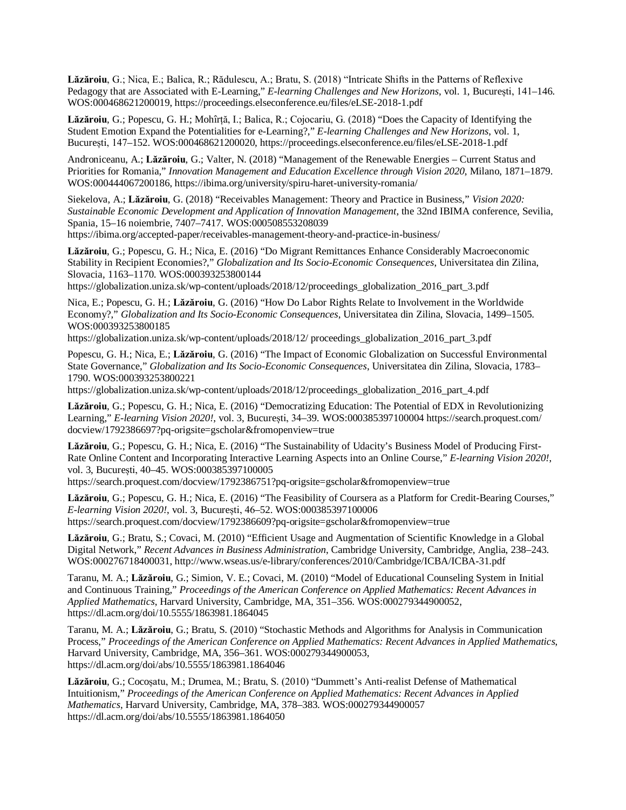**Lăzăroiu**, G.; Nica, E.; Balica, R.; Rădulescu, A.; Bratu, S. (2018) "Intricate Shifts in the Patterns of Reflexive Pedagogy that are Associated with E-Learning," *E-learning Challenges and New Horizons*, vol. 1, București, 141–146. WOS:000468621200019, <https://proceedings.elseconference.eu/files/eLSE-2018-1.pdf>

**Lăzăroiu**, G.; Popescu, G. H.; Mohîrță, I.; Balica, R.; Cojocariu, G. (2018) "Does the Capacity of Identifying the Student Emotion Expand the Potentialities for e-Learning?," *E-learning Challenges and New Horizons*, vol. 1, București, 147–152. WOS:000468621200020,<https://proceedings.elseconference.eu/files/eLSE-2018-1.pdf>

Androniceanu, A.; **Lăzăroiu**, G.; Valter, N. (2018) "Management of the Renewable Energies – Current Status and Priorities for Romania," *Innovation Management and Education Excellence through Vision 2020*, Milano, 1871–1879. WOS:000444067200186, <https://ibima.org/university/spiru-haret-university-romania/>

Siekelova, A.; **Lăzăroiu**, G. (2018) "Receivables Management: Theory and Practice in Business," *Vision 2020: Sustainable Economic Development and Application of Innovation Management*, the 32nd IBIMA conference, Sevilia, Spania, 15–16 noiembrie, 7407–7417. WOS:000508553208039

<https://ibima.org/accepted-paper/receivables-management-theory-and-practice-in-business/>

**Lăzăroiu**, G.; Popescu, G. H.; Nica, E. (2016) "Do Migrant Remittances Enhance Considerably Macroeconomic Stability in Recipient Economies?," *Globalization and Its Socio-Economic Consequences*, Universitatea din Zilina, Slovacia, 1163–1170. WOS:000393253800144

[https://globalization.uniza.sk/wp-content/uploads/2018/12/proceedings\\_globalization\\_2016\\_part\\_3.pdf](https://globalization.uniza.sk/wp-content/uploads/2018/12/proceedings_globalization_2016_part_3.pdf)

Nica, E.; Popescu, G. H.; **Lăzăroiu**, G. (2016) "How Do Labor Rights Relate to Involvement in the Worldwide Economy?," *Globalization and Its Socio-Economic Consequences*, Universitatea din Zilina, Slovacia, 1499–1505. WOS:000393253800185

<https://globalization.uniza.sk/wp-content/uploads/2018/12/>proceedings\_globalization\_2016\_part\_3.pdf

Popescu, G. H.; Nica, E.; **Lăzăroiu**, G. (2016) "The Impact of Economic Globalization on Successful Environmental State Governance," *Globalization and Its Socio-Economic Consequences*, Universitatea din Zilina, Slovacia, 1783– 1790. WOS:000393253800221

[https://globalization.uniza.sk/wp-content/uploads/2018/12/proceedings\\_globalization\\_2016\\_part\\_4.pdf](https://globalization.uniza.sk/wp-content/uploads/2018/12/proceedings_globalization_2016_part_4.pdf)

**Lăzăroiu**, G.; Popescu, G. H.; Nica, E. (2016) "Democratizing Education: The Potential of EDX in Revolutionizing Learning," *E-learning Vision 2020!*, vol. 3, București, 34–39. WOS:000385397100004<https://search.proquest.com/> docview/1792386697?pq-origsite=gscholar&fromopenview=true

**Lăzăroiu**, G.; Popescu, G. H.; Nica, E. (2016) "The Sustainability of Udacity's Business Model of Producing First-Rate Online Content and Incorporating Interactive Learning Aspects into an Online Course," *E-learning Vision 2020!*, vol. 3, București, 40–45. WOS:000385397100005

<https://search.proquest.com/docview/1792386751?pq-origsite=gscholar&fromopenview=true>

**Lăzăroiu**, G.; Popescu, G. H.; Nica, E. (2016) "The Feasibility of Coursera as a Platform for Credit-Bearing Courses," *E-learning Vision 2020!*, vol. 3, București, 46–52. WOS:000385397100006 <https://search.proquest.com/docview/1792386609?pq-origsite=gscholar&fromopenview=true>

**Lăzăroiu**, G.; Bratu, S.; Covaci, M. (2010) "Efficient Usage and Augmentation of Scientific Knowledge in a Global Digital Network," *Recent Advances in Business Administration*, Cambridge University, Cambridge, Anglia, 238–243. WOS:000276718400031, <http://www.wseas.us/e-library/conferences/2010/Cambridge/ICBA/ICBA-31.pdf>

Taranu, M. A.; **Lăzăroiu**, G.; Simion, V. E.; Covaci, M. (2010) "Model of Educational Counseling System in Initial and Continuous Training," *Proceedings of the American Conference on Applied Mathematics: Recent Advances in Applied Mathematics*, Harvard University, Cambridge, MA, 351–356. WOS:000279344900052, <https://dl.acm.org/doi/10.5555/1863981.1864045>

Taranu, M. A.; **Lăzăroiu**, G.; Bratu, S. (2010) "Stochastic Methods and Algorithms for Analysis in Communication Process," *Proceedings of the American Conference on Applied Mathematics: Recent Advances in Applied Mathematics*, Harvard University, Cambridge, MA, 356–361. WOS:000279344900053, <https://dl.acm.org/doi/abs/10.5555/1863981.1864046>

**Lăzăroiu**, G.; Cocoșatu, M.; Drumea, M.; Bratu, S. (2010) "Dummett's Anti-realist Defense of Mathematical Intuitionism," *Proceedings of the American Conference on Applied Mathematics: Recent Advances in Applied Mathematics*, Harvard University, Cambridge, MA, 378–383. WOS:000279344900057 <https://dl.acm.org/doi/abs/10.5555/1863981.1864050>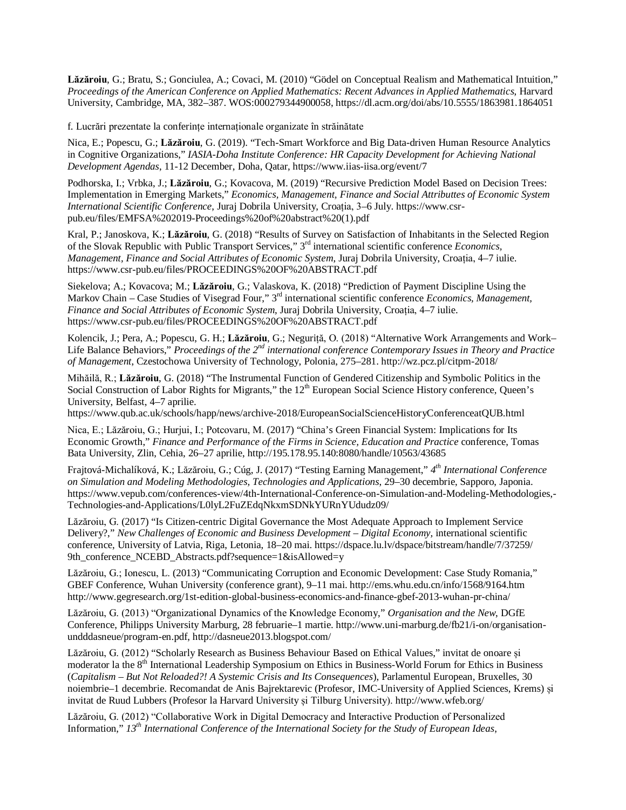**Lăzăroiu**, G.; Bratu, S.; Gonciulea, A.; Covaci, M. (2010) "Gödel on Conceptual Realism and Mathematical Intuition," *Proceedings of the American Conference on Applied Mathematics: Recent Advances in Applied Mathematics*, Harvard University, Cambridge, MA, 382–387. WOS:000279344900058, <https://dl.acm.org/doi/abs/10.5555/1863981.1864051>

f. Lucrări prezentate la conferințe internaționale organizate în străinătate

Nica, E.; Popescu, G.; **Lăzăroiu**, G. (2019). "Tech-Smart Workforce and Big Data-driven Human Resource Analytics in Cognitive Organizations," *IASIA-Doha Institute Conference: HR Capacity Development for Achieving National Development Agendas*, 11-12 December, Doha, Qatar,<https://www.iias-iisa.org/event/7>

Podhorska, I.; Vrbka, J.; **Lăzăroiu**, G.; Kovacova, M. (2019) "Recursive Prediction Model Based on Decision Trees: Implementation in Emerging Markets," *Economics, Management, Finance and Social Attributtes of Economic System International Scientific Conference*, Juraj Dobrila University, Croația, 3–6 July. [https://www.csr](https://www.csr-)pub.eu/files/EMFSA%202019-Proceedings%20of%20abstract%20(1).pdf

Kral, P.; Janoskova, K.; **Lăzăroiu**, G. (2018) "Results of Survey on Satisfaction of Inhabitants in the Selected Region of the Slovak Republic with Public Transport Services," 3rd international scientific conference *Economics, Management, Finance and Social Attributes of Economic System*, Juraj Dobrila University, Croația, 4–7 iulie. <https://www.csr-pub.eu/files/PROCEEDINGS%20OF%20ABSTRACT.pdf>

Siekelova; A.; Kovacova; M.; **Lăzăroiu**, G.; Valaskova, K. (2018) "Prediction of Payment Discipline Using the Markov Chain – Case Studies of Visegrad Four," 3rd international scientific conference *Economics, Management, Finance and Social Attributes of Economic System*, Juraj Dobrila University, Croația, 4–7 iulie. <https://www.csr-pub.eu/files/PROCEEDINGS%20OF%20ABSTRACT.pdf>

Kolencik, J.; Pera, A.; Popescu, G. H.; **Lăzăroiu**, G.; Neguriță, O. (2018) "Alternative Work Arrangements and Work– Life Balance Behaviors," *Proceedings of the 2nd international conference Contemporary Issues in Theory and Practice of Management*, Czestochowa University of Technology, Polonia, 275–281.<http://wz.pcz.pl/citpm-2018/>

Mihăilă, R.; **Lăzăroiu**, G. (2018) "The Instrumental Function of Gendered Citizenship and Symbolic Politics in the Social Construction of Labor Rights for Migrants," the 12<sup>th</sup> European Social Science History conference, Queen's University, Belfast, 4–7 aprilie.

<https://www.qub.ac.uk/schools/happ/news/archive-2018/EuropeanSocialScienceHistoryConferenceatQUB.html>

Nica, E.; Lăzăroiu, G.; Hurjui, I.; Potcovaru, M. (2017) "China's Green Financial System: Implications for Its Economic Growth," *Finance and Performance of the Firms in Science, Education and Practice* conference, Tomas Bata University, Zlin, Cehia, 26–27 aprilie,<http://195.178.95.140:8080/handle/10563/43685>

Frajtová-Michalíková, K.; Lăzăroiu, G.; Cúg, J. (2017) "Testing Earning Management," *4 th International Conference on Simulation and Modeling Methodologies, Technologies and Applications*, 29–30 decembrie, Sapporo, Japonia. <https://www.vepub.com/conferences-view/4th-International-Conference-on-Simulation-and-Modeling-Methodologies,-> Technologies-and-Applications/L0lyL2FuZEdqNkxmSDNkYURnYUdudz09/

Lăzăroiu, G. (2017) "Is Citizen-centric Digital Governance the Most Adequate Approach to Implement Service Delivery?," *New Challenges of Economic and Business Development – Digital Economy,* international scientific conference, University of Latvia, Riga, Letonia, 18–20 mai. <https://dspace.lu.lv/dspace/bitstream/handle/7/37259/> 9th\_conference\_NCEBD\_Abstracts.pdf?sequence=1&isAllowed=y

Lăzăroiu, G.; Ionescu, L. (2013) "Communicating Corruption and Economic Development: Case Study Romania," GBEF Conference, Wuhan University (conference grant), 9–11 mai.<http://ems.whu.edu.cn/info/1568/9164.htm> <http://www.gegresearch.org/1st-edition-global-business-economics-and-finance-gbef-2013-wuhan-pr-china/>

Lăzăroiu, G. (2013) "Organizational Dynamics of the Knowledge Economy," *Organisation and the New*, DGfE Conference, Philipps University Marburg, 28 februarie–1 martie. [http://www.uni-marburg.de/fb21/i-on/organisation](http://www.uni-marburg.de/fb21/i-on/organisation-)undddasneue/program-en.pdf,<http://dasneue2013.blogspot.com/>

Lăzăroiu, G. (2012) "Scholarly Research as Business Behaviour Based on Ethical Values," invitat de onoare și moderator la the 8<sup>th</sup> International Leadership Symposium on Ethics in Business-World Forum for Ethics in Business (*Capitalism – But Not Reloaded?! A Systemic Crisis and Its Consequences*), Parlamentul European, Bruxelles, 30 noiembrie–1 decembrie. Recomandat de Anis Bajrektarevic (Profesor, IMC-University of Applied Sciences, Krems) și invitat de Ruud Lubbers (Profesor la Harvard University și Tilburg University). <http://www.wfeb.org/>

Lăzăroiu, G. (2012) "Collaborative Work in Digital Democracy and Interactive Production of Personalized Information," *13th International Conference of the International Society for the Study of European Ideas*,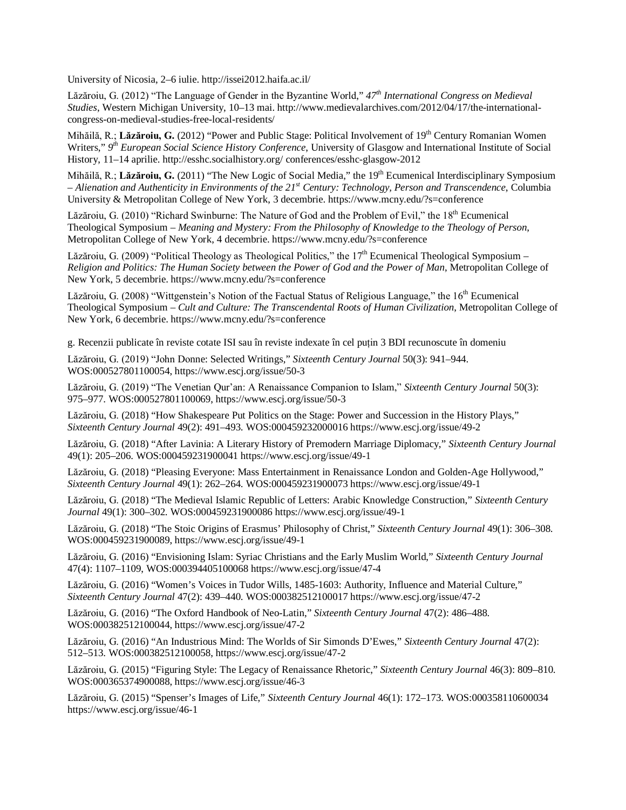University of Nicosia, 2–6 iulie.<http://issei2012.haifa.ac.il/>

Lăzăroiu, G. (2012) "The Language of Gender in the Byzantine World," *47th International Congress on Medieval Studies*, Western Michigan University, 10–13 mai. [http://www.medievalarchives.com/2012/04/17/the-international](http://www.medievalarchives.com/2012/04/17/the-international-)congress-on-medieval-studies-free-local-residents/

Mihăilă, R.; Lăzăroiu, G. (2012) "Power and Public Stage: Political Involvement of 19<sup>th</sup> Century Romanian Women Writers," 9<sup>th</sup> European Social Science History Conference, University of Glasgow and International Institute of Social History, 11–14 aprilie.<http://esshc.socialhistory.org/>conferences/esshc-glasgow-2012

Mihăilă, R.; Lăzăroiu, G. (2011) "The New Logic of Social Media," the 19<sup>th</sup> Ecumenical Interdisciplinary Symposium – *Alienation and Authenticity in Environments of the 21st Century: Technology, Person and Transcendence*, Columbia University & Metropolitan College of New York, 3 decembrie.<https://www.mcny.edu/?s=conference>

Lăzăroiu, G. (2010) "Richard Swinburne: The Nature of God and the Problem of Evil," the  $18<sup>th</sup>$  Ecumenical Theological Symposium – *Meaning and Mystery: From the Philosophy of Knowledge to the Theology of Person*, Metropolitan College of New York, 4 decembrie.<https://www.mcny.edu/?s=conference>

Lăzăroiu, G. (2009) "Political Theology as Theological Politics," the  $17<sup>th</sup>$  Ecumenical Theological Symposium – *Religion and Politics: The Human Society between the Power of God and the Power of Man*, Metropolitan College of New York, 5 decembrie.<https://www.mcny.edu/?s=conference>

Lăzăroiu, G. (2008) "Wittgenstein's Notion of the Factual Status of Religious Language," the 16<sup>th</sup> Ecumenical Theological Symposium – *Cult and Culture: The Transcendental Roots of Human Civilization*, Metropolitan College of New York, 6 decembrie.<https://www.mcny.edu/?s=conference>

g. Recenzii publicate în reviste cotate ISI sau în reviste indexate în cel puțin 3 BDI recunoscute în domeniu

Lăzăroiu, G. (2019) "John Donne: Selected Writings," *Sixteenth Century Journal* 50(3): 941–944. WOS:000527801100054, <https://www.escj.org/issue/50-3>

Lăzăroiu, G. (2019) "The Venetian Qur'an: A Renaissance Companion to Islam," *Sixteenth Century Journal* 50(3): 975–977. WOS:000527801100069,<https://www.escj.org/issue/50-3>

Lăzăroiu, G. (2018) "How Shakespeare Put Politics on the Stage: Power and Succession in the History Plays," *Sixteenth Century Journal* 49(2): 491–493. WOS:000459232000016 <https://www.escj.org/issue/49-2>

Lăzăroiu, G. (2018) "After Lavinia: A Literary History of Premodern Marriage Diplomacy," *Sixteenth Century Journal* 49(1): 205–206. WOS:000459231900041<https://www.escj.org/issue/49-1>

Lăzăroiu, G. (2018) "Pleasing Everyone: Mass Entertainment in Renaissance London and Golden-Age Hollywood," *Sixteenth Century Journal* 49(1): 262–264. WOS:000459231900073 <https://www.escj.org/issue/49-1>

Lăzăroiu, G. (2018) "The Medieval Islamic Republic of Letters: Arabic Knowledge Construction," *Sixteenth Century Journal* 49(1): 300–302. WOS:000459231900086<https://www.escj.org/issue/49-1>

Lăzăroiu, G. (2018) "The Stoic Origins of Erasmus' Philosophy of Christ," *Sixteenth Century Journal* 49(1): 306–308. WOS:000459231900089, <https://www.escj.org/issue/49-1>

Lăzăroiu, G. (2016) "Envisioning Islam: Syriac Christians and the Early Muslim World," *Sixteenth Century Journal* 47(4): 1107–1109, WOS:000394405100068 <https://www.escj.org/issue/47-4>

Lăzăroiu, G. (2016) "Women's Voices in Tudor Wills, 1485-1603: Authority, Influence and Material Culture," *Sixteenth Century Journal* 47(2): 439–440. WOS:000382512100017 <https://www.escj.org/issue/47-2>

Lăzăroiu, G. (2016) "The Oxford Handbook of Neo-Latin," *Sixteenth Century Journal* 47(2): 486–488. WOS:000382512100044, <https://www.escj.org/issue/47-2>

Lăzăroiu, G. (2016) "An Industrious Mind: The Worlds of Sir Simonds D'Ewes," *Sixteenth Century Journal* 47(2): 512–513. WOS:000382512100058,<https://www.escj.org/issue/47-2>

Lăzăroiu, G. (2015) "Figuring Style: The Legacy of Renaissance Rhetoric," *Sixteenth Century Journal* 46(3): 809–810. WOS:000365374900088, <https://www.escj.org/issue/46-3>

Lăzăroiu, G. (2015) "Spenser's Images of Life," *Sixteenth Century Journal* 46(1): 172–173. WOS:000358110600034 <https://www.escj.org/issue/46-1>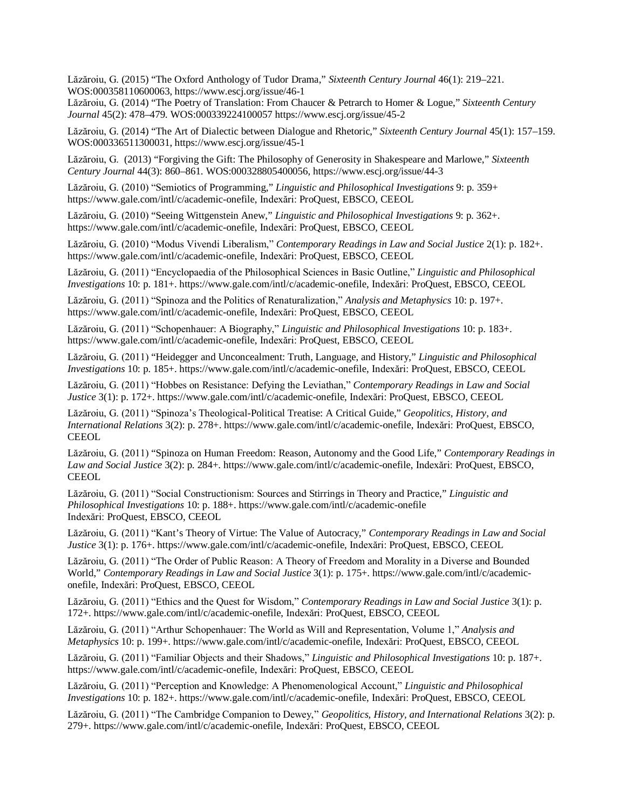Lăzăroiu, G. (2015) "The Oxford Anthology of Tudor Drama," *Sixteenth Century Journal* 46(1): 219–221. WOS:000358110600063, <https://www.escj.org/issue/46-1>

Lăzăroiu, G. (2014) "The Poetry of Translation: From Chaucer & Petrarch to Homer & Logue," *Sixteenth Century Journal* 45(2): 478–479. WOS:000339224100057<https://www.escj.org/issue/45-2>

Lăzăroiu, G. (2014) "The Art of Dialectic between Dialogue and Rhetoric," *Sixteenth Century Journal* 45(1): 157–159. WOS:000336511300031, <https://www.escj.org/issue/45-1>

Lăzăroiu, G. (2013) "Forgiving the Gift: The Philosophy of Generosity in Shakespeare and Marlowe," *Sixteenth Century Journal* 44(3): 860–861. WOS:000328805400056,<https://www.escj.org/issue/44-3>

Lăzăroiu, G. (2010) "Semiotics of Programming," *Linguistic and Philosophical Investigations* 9: p. 359+ <https://www.gale.com/intl/c/academic-onefile,>Indexări: ProQuest, EBSCO, CEEOL

Lăzăroiu, G. (2010) "Seeing Wittgenstein Anew," *Linguistic and Philosophical Investigations* 9: p. 362+. <https://www.gale.com/intl/c/academic-onefile,>Indexări: ProQuest, EBSCO, CEEOL

Lăzăroiu, G. (2010) "Modus Vivendi Liberalism," *Contemporary Readings in Law and Social Justice* 2(1): p. 182+. <https://www.gale.com/intl/c/academic-onefile,>Indexări: ProQuest, EBSCO, CEEOL

Lăzăroiu, G. (2011) "Encyclopaedia of the Philosophical Sciences in Basic Outline," *Linguistic and Philosophical Investigations* 10: p. 181+.<https://www.gale.com/intl/c/academic-onefile,> Indexări: ProQuest, EBSCO, CEEOL

Lăzăroiu, G. (2011) "Spinoza and the Politics of Renaturalization," *Analysis and Metaphysics* 10: p. 197+. <https://www.gale.com/intl/c/academic-onefile,>Indexări: ProQuest, EBSCO, CEEOL

Lăzăroiu, G. (2011) "Schopenhauer: A Biography," *Linguistic and Philosophical Investigations* 10: p. 183+. <https://www.gale.com/intl/c/academic-onefile,>Indexări: ProQuest, EBSCO, CEEOL

Lăzăroiu, G. (2011) "Heidegger and Unconcealment: Truth, Language, and History," *Linguistic and Philosophical Investigations* 10: p. 185+. <https://www.gale.com/intl/c/academic-onefile,> Indexări: ProQuest, EBSCO, CEEOL

Lăzăroiu, G. (2011) "Hobbes on Resistance: Defying the Leviathan," *Contemporary Readings in Law and Social Justice* 3(1): p. 172+. <https://www.gale.com/intl/c/academic-onefile,> Indexări: ProQuest, EBSCO, CEEOL

Lăzăroiu, G. (2011) "Spinoza's Theological-Political Treatise: A Critical Guide," *Geopolitics, History, and International Relations* 3(2): p. 278+.<https://www.gale.com/intl/c/academic-onefile,>Indexări: ProQuest, EBSCO, **CEEOL** 

Lăzăroiu, G. (2011) "Spinoza on Human Freedom: Reason, Autonomy and the Good Life," *Contemporary Readings in Law and Social Justice* 3(2): p. 284+. <https://www.gale.com/intl/c/academic-onefile,> Indexări: ProQuest, EBSCO, **CEEOL** 

Lăzăroiu, G. (2011) "Social Constructionism: Sources and Stirrings in Theory and Practice," *Linguistic and Philosophical Investigations* 10: p. 188+. <https://www.gale.com/intl/c/academic-onefile> Indexări: ProQuest, EBSCO, CEEOL

Lăzăroiu, G. (2011) "Kant's Theory of Virtue: The Value of Autocracy," *Contemporary Readings in Law and Social Justice* 3(1): p. 176+. <https://www.gale.com/intl/c/academic-onefile,> Indexări: ProQuest, EBSCO, CEEOL

Lăzăroiu, G. (2011) "The Order of Public Reason: A Theory of Freedom and Morality in a Diverse and Bounded World," *Contemporary Readings in Law and Social Justice* 3(1): p. 175+. [https://www.gale.com/intl/c/academic](https://www.gale.com/intl/c/academic-)onefile, Indexări: ProQuest, EBSCO, CEEOL

Lăzăroiu, G. (2011) "Ethics and the Quest for Wisdom," *Contemporary Readings in Law and Social Justice* 3(1): p. 172+. <https://www.gale.com/intl/c/academic-onefile,> Indexări: ProQuest, EBSCO, CEEOL

Lăzăroiu, G. (2011) "Arthur Schopenhauer: The World as Will and Representation, Volume 1," *Analysis and Metaphysics* 10: p. 199+.<https://www.gale.com/intl/c/academic-onefile,> Indexări: ProQuest, EBSCO, CEEOL

Lăzăroiu, G. (2011) "Familiar Objects and their Shadows," *Linguistic and Philosophical Investigations* 10: p. 187+. <https://www.gale.com/intl/c/academic-onefile,>Indexări: ProQuest, EBSCO, CEEOL

Lăzăroiu, G. (2011) "Perception and Knowledge: A Phenomenological Account," *Linguistic and Philosophical Investigations* 10: p. 182+.<https://www.gale.com/intl/c/academic-onefile,> Indexări: ProQuest, EBSCO, CEEOL

Lăzăroiu, G. (2011) "The Cambridge Companion to Dewey," *Geopolitics, History, and International Relations* 3(2): p. 279+. <https://www.gale.com/intl/c/academic-onefile,> Indexări: ProQuest, EBSCO, CEEOL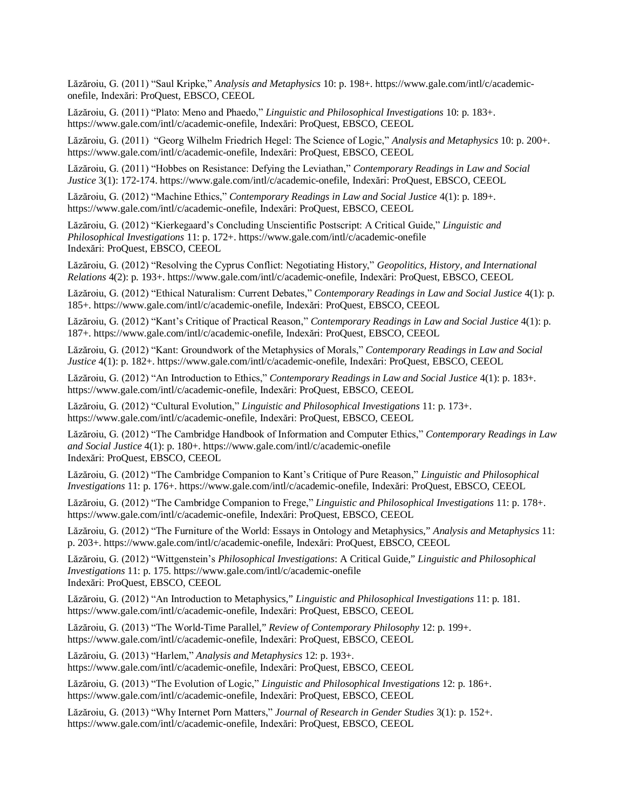Lăzăroiu, G. (2011) "Saul Kripke," *Analysis and Metaphysics* 10: p. 198+. [https://www.gale.com/intl/c/academic](https://www.gale.com/intl/c/academic-)onefile, Indexări: ProQuest, EBSCO, CEEOL

Lăzăroiu, G. (2011) "Plato: Meno and Phaedo," *Linguistic and Philosophical Investigations* 10: p. 183+. <https://www.gale.com/intl/c/academic-onefile,>Indexări: ProQuest, EBSCO, CEEOL

Lăzăroiu, G. (2011) "Georg Wilhelm Friedrich Hegel: The Science of Logic," *Analysis and Metaphysics* 10: p. 200+. <https://www.gale.com/intl/c/academic-onefile,>Indexări: ProQuest, EBSCO, CEEOL

Lăzăroiu, G. (2011) "Hobbes on Resistance: Defying the Leviathan," *Contemporary Readings in Law and Social Justice* 3(1): 172-174. <https://www.gale.com/intl/c/academic-onefile,> Indexări: ProQuest, EBSCO, CEEOL

Lăzăroiu, G. (2012) "Machine Ethics," *Contemporary Readings in Law and Social Justice* 4(1): p. 189+. <https://www.gale.com/intl/c/academic-onefile,>Indexări: ProQuest, EBSCO, CEEOL

Lăzăroiu, G. (2012) "Kierkegaard's Concluding Unscientific Postscript: A Critical Guide," *Linguistic and Philosophical Investigations* 11: p. 172+. <https://www.gale.com/intl/c/academic-onefile> Indexări: ProQuest, EBSCO, CEEOL

Lăzăroiu, G. (2012) "Resolving the Cyprus Conflict: Negotiating History," *Geopolitics, History, and International Relations* 4(2): p. 193+.<https://www.gale.com/intl/c/academic-onefile,> Indexări: ProQuest, EBSCO, CEEOL

Lăzăroiu, G. (2012) "Ethical Naturalism: Current Debates," *Contemporary Readings in Law and Social Justice* 4(1): p. 185+. <https://www.gale.com/intl/c/academic-onefile,> Indexări: ProQuest, EBSCO, CEEOL

Lăzăroiu, G. (2012) "Kant's Critique of Practical Reason," *Contemporary Readings in Law and Social Justice* 4(1): p. 187+. <https://www.gale.com/intl/c/academic-onefile,> Indexări: ProQuest, EBSCO, CEEOL

Lăzăroiu, G. (2012) "Kant: Groundwork of the Metaphysics of Morals," *Contemporary Readings in Law and Social Justice* 4(1): p. 182+. <https://www.gale.com/intl/c/academic-onefile,> Indexări: ProQuest, EBSCO, CEEOL

Lăzăroiu, G. (2012) "An Introduction to Ethics," *Contemporary Readings in Law and Social Justice* 4(1): p. 183+. <https://www.gale.com/intl/c/academic-onefile,>Indexări: ProQuest, EBSCO, CEEOL

Lăzăroiu, G. (2012) "Cultural Evolution," *Linguistic and Philosophical Investigations* 11: p. 173+. <https://www.gale.com/intl/c/academic-onefile,>Indexări: ProQuest, EBSCO, CEEOL

Lăzăroiu, G. (2012) "The Cambridge Handbook of Information and Computer Ethics," *Contemporary Readings in Law and Social Justice* 4(1): p. 180+. <https://www.gale.com/intl/c/academic-onefile> Indexări: ProQuest, EBSCO, CEEOL

Lăzăroiu, G. (2012) "The Cambridge Companion to Kant's Critique of Pure Reason," *Linguistic and Philosophical Investigations* 11: p. 176+.<https://www.gale.com/intl/c/academic-onefile,> Indexări: ProQuest, EBSCO, CEEOL

Lăzăroiu, G. (2012) "The Cambridge Companion to Frege," *Linguistic and Philosophical Investigations* 11: p. 178+. <https://www.gale.com/intl/c/academic-onefile,>Indexări: ProQuest, EBSCO, CEEOL

Lăzăroiu, G. (2012) "The Furniture of the World: Essays in Ontology and Metaphysics," *Analysis and Metaphysics* 11: p. 203+. <https://www.gale.com/intl/c/academic-onefile,> Indexări: ProQuest, EBSCO, CEEOL

Lăzăroiu, G. (2012) "Wittgenstein's *Philosophical Investigations*: A Critical Guide," *Linguistic and Philosophical Investigations* 11: p. 175.<https://www.gale.com/intl/c/academic-onefile> Indexări: ProQuest, EBSCO, CEEOL

Lăzăroiu, G. (2012) "An Introduction to Metaphysics," *Linguistic and Philosophical Investigations* 11: p. 181. <https://www.gale.com/intl/c/academic-onefile,>Indexări: ProQuest, EBSCO, CEEOL

Lăzăroiu, G. (2013) "The World-Time Parallel," *Review of Contemporary Philosophy* 12: p. 199+. <https://www.gale.com/intl/c/academic-onefile,>Indexări: ProQuest, EBSCO, CEEOL

Lăzăroiu, G. (2013) "Harlem," *Analysis and Metaphysics* 12: p. 193+.

<https://www.gale.com/intl/c/academic-onefile,>Indexări: ProQuest, EBSCO, CEEOL

Lăzăroiu, G. (2013) "The Evolution of Logic," *Linguistic and Philosophical Investigations* 12: p. 186+. <https://www.gale.com/intl/c/academic-onefile,>Indexări: ProQuest, EBSCO, CEEOL

Lăzăroiu, G. (2013) "Why Internet Porn Matters," *Journal of Research in Gender Studies* 3(1): p. 152+. <https://www.gale.com/intl/c/academic-onefile,>Indexări: ProQuest, EBSCO, CEEOL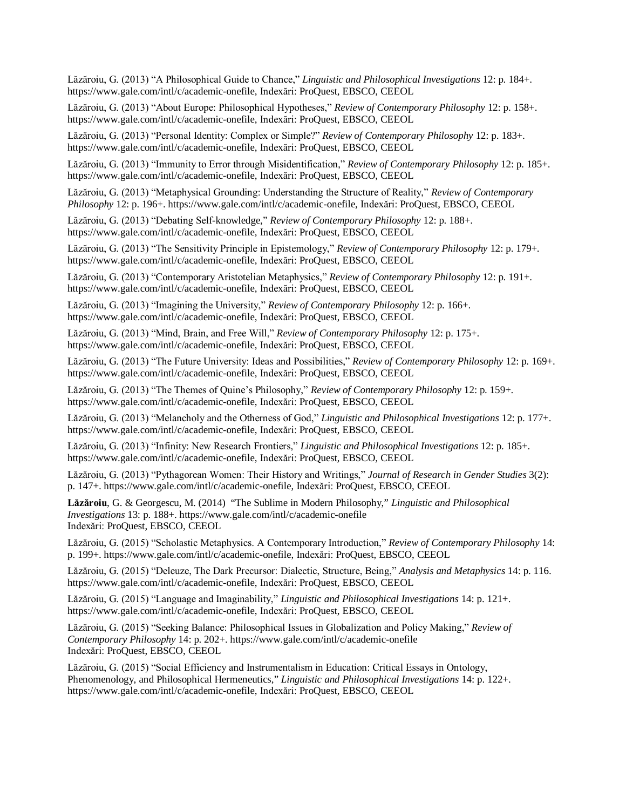Lăzăroiu, G. (2013) "A Philosophical Guide to Chance," *Linguistic and Philosophical Investigations* 12: p. 184+. <https://www.gale.com/intl/c/academic-onefile,>Indexări: ProQuest, EBSCO, CEEOL

Lăzăroiu, G. (2013) "About Europe: Philosophical Hypotheses," *Review of Contemporary Philosophy* 12: p. 158+. <https://www.gale.com/intl/c/academic-onefile,>Indexări: ProQuest, EBSCO, CEEOL

Lăzăroiu, G. (2013) "Personal Identity: Complex or Simple?" *Review of Contemporary Philosophy* 12: p. 183+. <https://www.gale.com/intl/c/academic-onefile,>Indexări: ProQuest, EBSCO, CEEOL

Lăzăroiu, G. (2013) "Immunity to Error through Misidentification," *Review of Contemporary Philosophy* 12: p. 185+. <https://www.gale.com/intl/c/academic-onefile,>Indexări: ProQuest, EBSCO, CEEOL

Lăzăroiu, G. (2013) "Metaphysical Grounding: Understanding the Structure of Reality," *Review of Contemporary Philosophy* 12: p. 196+.<https://www.gale.com/intl/c/academic-onefile,> Indexări: ProQuest, EBSCO, CEEOL

Lăzăroiu, G. (2013) "Debating Self-knowledge," *Review of Contemporary Philosophy* 12: p. 188+. <https://www.gale.com/intl/c/academic-onefile,>Indexări: ProQuest, EBSCO, CEEOL

Lăzăroiu, G. (2013) "The Sensitivity Principle in Epistemology," *Review of Contemporary Philosophy* 12: p. 179+. <https://www.gale.com/intl/c/academic-onefile,>Indexări: ProQuest, EBSCO, CEEOL

Lăzăroiu, G. (2013) "Contemporary Aristotelian Metaphysics," *Review of Contemporary Philosophy* 12: p. 191+. <https://www.gale.com/intl/c/academic-onefile,>Indexări: ProQuest, EBSCO, CEEOL

Lăzăroiu, G. (2013) "Imagining the University," *Review of Contemporary Philosophy* 12: p. 166+. <https://www.gale.com/intl/c/academic-onefile,>Indexări: ProQuest, EBSCO, CEEOL

Lăzăroiu, G. (2013) "Mind, Brain, and Free Will," *Review of Contemporary Philosophy* 12: p. 175+. <https://www.gale.com/intl/c/academic-onefile,>Indexări: ProQuest, EBSCO, CEEOL

Lăzăroiu, G. (2013) "The Future University: Ideas and Possibilities," *Review of Contemporary Philosophy* 12: p. 169+. <https://www.gale.com/intl/c/academic-onefile,>Indexări: ProQuest, EBSCO, CEEOL

Lăzăroiu, G. (2013) "The Themes of Quine's Philosophy," *Review of Contemporary Philosophy* 12: p. 159+. <https://www.gale.com/intl/c/academic-onefile,>Indexări: ProQuest, EBSCO, CEEOL

Lăzăroiu, G. (2013) "Melancholy and the Otherness of God," *Linguistic and Philosophical Investigations* 12: p. 177+. <https://www.gale.com/intl/c/academic-onefile,>Indexări: ProQuest, EBSCO, CEEOL

Lăzăroiu, G. (2013) "Infinity: New Research Frontiers," *Linguistic and Philosophical Investigations* 12: p. 185+. <https://www.gale.com/intl/c/academic-onefile,>Indexări: ProQuest, EBSCO, CEEOL

Lăzăroiu, G. (2013) "Pythagorean Women: Their History and Writings," *Journal of Research in Gender Studies* 3(2): p. 147+. <https://www.gale.com/intl/c/academic-onefile,> Indexări: ProQuest, EBSCO, CEEOL

**Lăzăroiu**, G. & Georgescu, M. (2014) "The Sublime in Modern Philosophy," *Linguistic and Philosophical Investigations* 13: p. 188+.<https://www.gale.com/intl/c/academic-onefile> Indexări: ProQuest, EBSCO, CEEOL

Lăzăroiu, G. (2015) "Scholastic Metaphysics. A Contemporary Introduction," *Review of Contemporary Philosophy* 14: p. 199+. <https://www.gale.com/intl/c/academic-onefile,> Indexări: ProQuest, EBSCO, CEEOL

Lăzăroiu, G. (2015) "Deleuze, The Dark Precursor: Dialectic, Structure, Being," *Analysis and Metaphysics* 14: p. 116. <https://www.gale.com/intl/c/academic-onefile,>Indexări: ProQuest, EBSCO, CEEOL

Lăzăroiu, G. (2015) "Language and Imaginability," *Linguistic and Philosophical Investigations* 14: p. 121+. <https://www.gale.com/intl/c/academic-onefile,>Indexări: ProQuest, EBSCO, CEEOL

Lăzăroiu, G. (2015) "Seeking Balance: Philosophical Issues in Globalization and Policy Making," *Review of Contemporary Philosophy* 14: p. 202+.<https://www.gale.com/intl/c/academic-onefile> Indexări: ProQuest, EBSCO, CEEOL

Lăzăroiu, G. (2015) "Social Efficiency and Instrumentalism in Education: Critical Essays in Ontology, Phenomenology, and Philosophical Hermeneutics," *Linguistic and Philosophical Investigations* 14: p. 122+. <https://www.gale.com/intl/c/academic-onefile,>Indexări: ProQuest, EBSCO, CEEOL